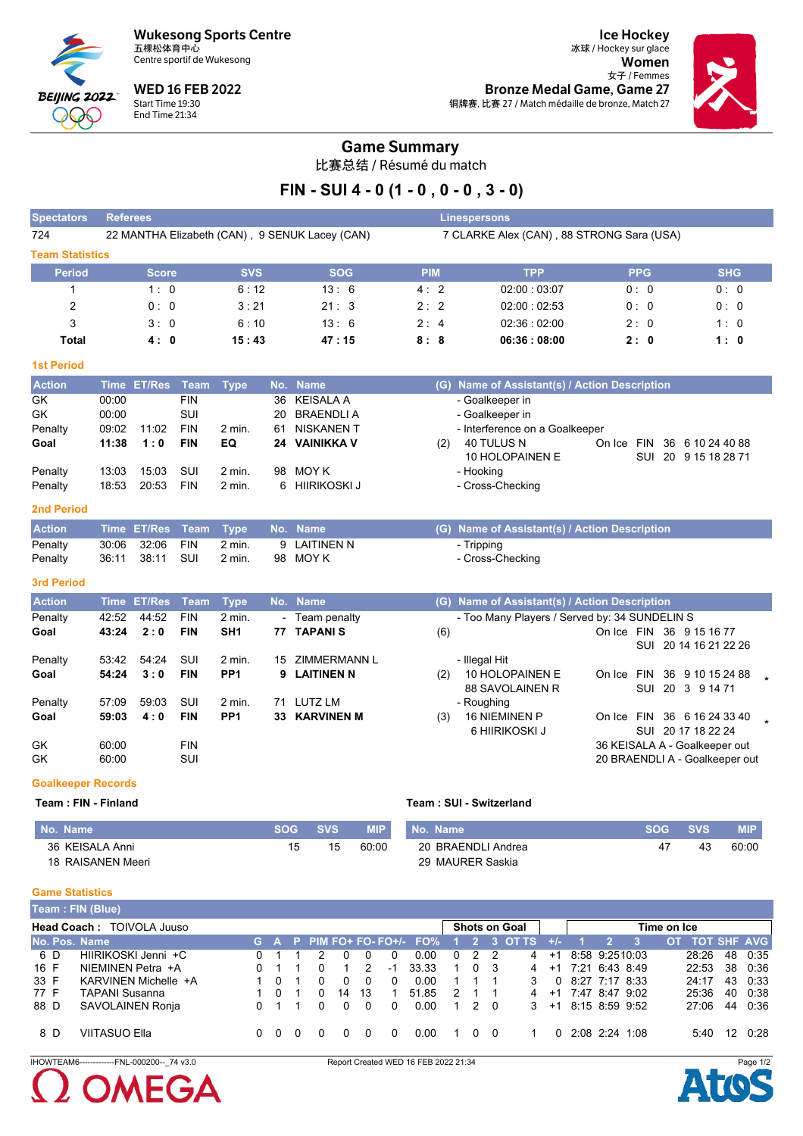**Wukesong Sports Centre** 五棵松体育中心



Centre sportif de Wukesong

**WED 16 FEB 2022** Start Time 19:30 End Time 21:34

**Ice Hockey** 冰球 / Hockey sur glace Women  $\sharp$  <br> Femmes Bronze Medal Game, Game 27 铜牌赛, 比赛 27 / Match médaille de bronze, Match 27



# **Game Summary**

比赛总结 / Résumé du match

# FIN - SUI 4 - 0 (1 - 0 , 0 - 0 , 3 - 0)

| <b>Spectators</b>      | <b>Referees</b>                                |            |            | <b>Linespersons</b> |                                           |            |            |
|------------------------|------------------------------------------------|------------|------------|---------------------|-------------------------------------------|------------|------------|
| 724                    | 22 MANTHA Elizabeth (CAN), 9 SENUK Lacey (CAN) |            |            |                     | 7 CLARKE Alex (CAN), 88 STRONG Sara (USA) |            |            |
| <b>Team Statistics</b> |                                                |            |            |                     |                                           |            |            |
| <b>Period</b>          | <b>Score</b>                                   | <b>SVS</b> | <b>SOG</b> | <b>PIM</b>          | <b>TPP</b>                                | <b>PPG</b> | <b>SHG</b> |
|                        | 1:0                                            | 6:12       | 13:6       | 4:2                 | 02:00:03:07                               | 0:0        | 0:0        |
| 2                      | 0:0                                            | 3:21       | 21:3       | 2:2                 | 02:00:02:53                               | 0:0        | 0:0        |
| 3                      | 3:0                                            | 6:10       | 13:6       | 2:4                 | 02:36:02:00                               | 2:0        | 1:0        |
| Total                  | 4:0                                            | 15:43      | 47:15      | 8:8                 | 06:36:08:00                               | 2:0        | 1:0        |

#### **1st Period**

| <b>Action</b> |       | Time ET/Res Team Type |            |                   |    | No. Name       |     | (G) Name of Assistant(s) / Action Description |        |  |                      |
|---------------|-------|-----------------------|------------|-------------------|----|----------------|-----|-----------------------------------------------|--------|--|----------------------|
| GK            | 00:00 |                       | <b>FIN</b> |                   |    | 36 KEISALA A   |     | - Goalkeeper in                               |        |  |                      |
| GK            | 00:00 |                       | SUI        |                   |    | 20 BRAENDLIA   |     | - Goalkeeper in                               |        |  |                      |
| Penalty       | 09:02 | 11:02                 | <b>FIN</b> | 2 min.            | 61 | NISKANEN T     |     | - Interference on a Goalkeeper                |        |  |                      |
| Goal          | 11:38 | 1:0                   | <b>FIN</b> | EQ                |    | 24 VAINIKKA V  | (2) | 40 TULUS N                                    | On Ice |  | FIN 36 6 10 24 40 88 |
|               |       |                       |            |                   |    |                |     | 10 HOLOPAINEN E                               |        |  | SUI 20 9 15 18 28 71 |
| Penalty       | 13:03 | 15:03                 | SUI        | $2 \text{ min}$ . | 98 | MOY K          |     | - Hooking                                     |        |  |                      |
| Penalty       | 18:53 | 20.53                 | <b>FIN</b> | $2$ min.          |    | 6 HIIRIKOSKI J |     | - Cross-Checking                              |        |  |                      |

### 2nd Period

| <b>Action</b> |                 | Time ET/Res Team Type No. Name |              | (G) Name of Assistant(s) / Action Description |
|---------------|-----------------|--------------------------------|--------------|-----------------------------------------------|
| Penalty       | 30:06 32:06 FIN | 2 min.                         | 9 LAITINEN N | - Tripping                                    |
| Penalty       | 36:11 38:11 SUI | 2 min.                         | 98 MOYK      | - Cross-Checking                              |

#### 3rd Period

| <b>Action</b> | Time  | <b>ET/Res</b> Team |            | <b>Type</b>     |     | No. Name            |     | (G) Name of Assistant(s) / Action Description                    |
|---------------|-------|--------------------|------------|-----------------|-----|---------------------|-----|------------------------------------------------------------------|
| Penalty       | 42:52 | 44:52              | <b>FIN</b> | $2$ min.        |     | - Team penalty      |     | - Too Many Players / Served by: 34 SUNDELIN S                    |
| Goal          | 43:24 | 2:0                | <b>FIN</b> | SH <sub>1</sub> | 77  | <b>TAPANIS</b>      | (6) | On Ice FIN<br>36 9 15 16 77                                      |
|               |       |                    |            |                 |     |                     |     | 20 14 16 21 22 26<br>SUI                                         |
| Penalty       | 53:42 | 54.24              | SUI        | 2 min.          | 15  | <b>ZIMMERMANN L</b> |     | - Illegal Hit                                                    |
| Goal          | 54:24 | 3:0                | <b>FIN</b> | PP <sub>1</sub> |     | 9 LAITINEN N        | (2) | 10 HOLOPAINEN E<br><b>FIN</b><br>36<br>9 10 15 24 88<br>On Ice   |
|               |       |                    |            |                 |     |                     |     | <b>88 SAVOLAINEN R</b><br>20 3 9 14 71<br>SUI                    |
| Penalty       | 57:09 | 59.03              | SUI        | 2 min.          | 71  | LUTZ LM             |     | - Roughing                                                       |
| Goal          | 59:03 | 4:0                | <b>FIN</b> | PP <sub>1</sub> | 33. | <b>KARVINEN M</b>   | (3) | <b>16 NIEMINEN P</b><br><b>FIN</b><br>36 6 16 24 33 40<br>On Ice |
|               |       |                    |            |                 |     |                     |     | SUI 20 17 18 22 24<br>6 HIIRIKOSKI J                             |
| GK            | 60.00 |                    | <b>FIN</b> |                 |     |                     |     | 36 KEISALA A - Goalkeeper out                                    |
| GK            | 60.00 |                    | SUI        |                 |     |                     |     | 20 BRAENDLI A - Goalkeeper out                                   |

#### **Goalkeeper Records**

Team: FIN - Finland

#### Team: SUI - Switzerland

| No. Name          | <b>SOG</b> | <b>SVS</b> | <b>MIP</b> | No. Name           | <b>SOG</b> | <b>SVS</b> | <b>MIP</b> |
|-------------------|------------|------------|------------|--------------------|------------|------------|------------|
| 36 KEISALA Anni   | 15         | 15         | 60:00      | 20 BRAENDLI Andrea |            | 43         | 60:00      |
| 18 RAISANEN Meeri |            |            |            | 29 MAURER Saskia   |            |            |            |

#### **Game Statistics**

| Team: FIN (Blue) |  |  |
|------------------|--|--|
|                  |  |  |

| [Team : Fin (Diue) |                           |  |     |  |  |          |               |          |                                             |                |                |             |                      |          |  |                                   |             |                    |    |         |
|--------------------|---------------------------|--|-----|--|--|----------|---------------|----------|---------------------------------------------|----------------|----------------|-------------|----------------------|----------|--|-----------------------------------|-------------|--------------------|----|---------|
|                    | Head Coach: TOIVOLA Juuso |  |     |  |  |          |               |          |                                             |                |                |             | <b>Shots on Goal</b> |          |  |                                   | Time on Ice |                    |    |         |
| No. Pos. Name      |                           |  |     |  |  |          |               |          | G A P PIM FO+ FO- FO+/- FO% 1 2 3 OT TS +/- |                |                |             |                      |          |  |                                   | <b>OT</b>   | <b>TOT SHF AVG</b> |    |         |
| 6 D                | HIIRIKOSKI Jenni +C       |  |     |  |  |          |               | $\Omega$ | 0.00                                        | $\Omega$       | 2 2            |             | 4                    | $+1$     |  | 8:58 9:2510:03                    |             | 28:26              | 48 | 0:35    |
| 16 F               | NIEMINEN Petra +A         |  |     |  |  |          | $\mathcal{P}$ | $-1$     | 33.33                                       | $\overline{1}$ | 0 <sub>3</sub> |             |                      |          |  | $4 + 1$ 7:21 6:43 8:49            |             | 22:53              |    | 38 0:36 |
| 33 F               | KARVINEN Michelle +A      |  | റ   |  |  | 0        | $\Omega$      | $\Omega$ | 0.00                                        |                |                |             | $\mathcal{S}$        |          |  | $0\quad 8:27\quad 7:17\quad 8:33$ |             | 24.17              |    | 43 0:33 |
| 77 F               | <b>TAPANI Susanna</b>     |  |     |  |  | 14       | -13           |          | 51.85                                       | $\mathcal{P}$  |                |             |                      |          |  | 4 +1 7:47 8:47 9:02               |             | 25:36              | 40 | 0:38    |
| 88 D               | SAVOLAINEN Ronja          |  | 0 1 |  |  | $\Omega$ | $\Omega$      | $\Omega$ | 0.00                                        | $\mathbf{1}$   |                | $2\sqrt{0}$ |                      |          |  | $3 + 18:158:599:52$               |             | 27:06              | 44 | 0:36    |
| 8 D                | VIITASUO Ella             |  | 0   |  |  |          |               |          | 0.00                                        |                |                | 0 O         |                      | $\Omega$ |  | 2.08 2.24 1.08                    |             | 5:40               | 12 | 0.28    |

IHOWTEAM6-------------FNL-000200--\_74 v3.0

# **OMEGA**